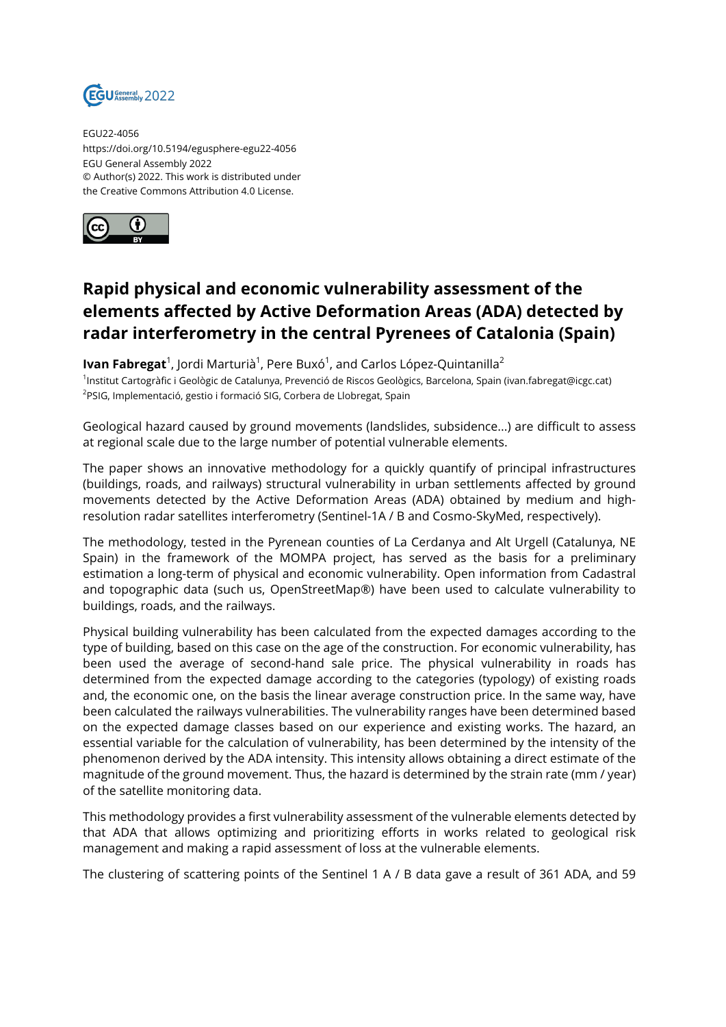

EGU22-4056 https://doi.org/10.5194/egusphere-egu22-4056 EGU General Assembly 2022 © Author(s) 2022. This work is distributed under the Creative Commons Attribution 4.0 License.



## **Rapid physical and economic vulnerability assessment of the elements affected by Active Deformation Areas (ADA) detected by radar interferometry in the central Pyrenees of Catalonia (Spain)**

**Ivan Fabregat**<sup>1</sup>, Jordi Marturià<sup>1</sup>, Pere Buxó<sup>1</sup>, and Carlos López-Quintanilla<sup>2</sup> 1 Institut Cartogràfic i Geològic de Catalunya, Prevenció de Riscos Geològics, Barcelona, Spain (ivan.fabregat@icgc.cat) <sup>2</sup>PSIG, Implementació, gestio i formació SIG, Corbera de Llobregat, Spain

Geological hazard caused by ground movements (landslides, subsidence...) are difficult to assess at regional scale due to the large number of potential vulnerable elements.

The paper shows an innovative methodology for a quickly quantify of principal infrastructures (buildings, roads, and railways) structural vulnerability in urban settlements affected by ground movements detected by the Active Deformation Areas (ADA) obtained by medium and highresolution radar satellites interferometry (Sentinel-1A / B and Cosmo-SkyMed, respectively).

The methodology, tested in the Pyrenean counties of La Cerdanya and Alt Urgell (Catalunya, NE Spain) in the framework of the MOMPA project, has served as the basis for a preliminary estimation a long-term of physical and economic vulnerability. Open information from Cadastral and topographic data (such us, OpenStreetMap®) have been used to calculate vulnerability to buildings, roads, and the railways.

Physical building vulnerability has been calculated from the expected damages according to the type of building, based on this case on the age of the construction. For economic vulnerability, has been used the average of second-hand sale price. The physical vulnerability in roads has determined from the expected damage according to the categories (typology) of existing roads and, the economic one, on the basis the linear average construction price. In the same way, have been calculated the railways vulnerabilities. The vulnerability ranges have been determined based on the expected damage classes based on our experience and existing works. The hazard, an essential variable for the calculation of vulnerability, has been determined by the intensity of the phenomenon derived by the ADA intensity. This intensity allows obtaining a direct estimate of the magnitude of the ground movement. Thus, the hazard is determined by the strain rate (mm / year) of the satellite monitoring data.

This methodology provides a first vulnerability assessment of the vulnerable elements detected by that ADA that allows optimizing and prioritizing efforts in works related to geological risk management and making a rapid assessment of loss at the vulnerable elements.

The clustering of scattering points of the Sentinel 1 A / B data gave a result of 361 ADA, and 59